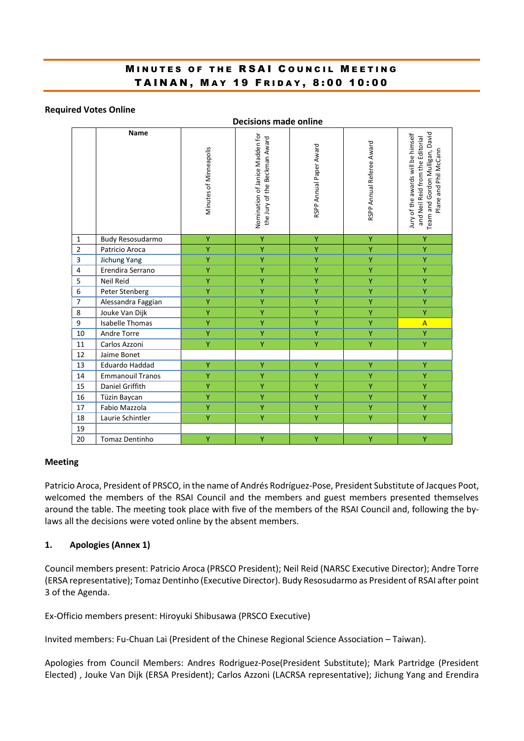# MINUTES OF THE RSAI COUNCIL MEETING TAINAN, MAY 19 FRIDAY, 8:00 10:00

#### **Required Votes Online**

|                | <b>Decisions made online</b> |                        |                                                                  |                         |                           |                                                                                                                                    |  |  |  |  |
|----------------|------------------------------|------------------------|------------------------------------------------------------------|-------------------------|---------------------------|------------------------------------------------------------------------------------------------------------------------------------|--|--|--|--|
|                | <b>Name</b>                  | Minutes of Minneapolis | Nomination of Janice Madden for<br>the Jury of the Beckman Award | RSPP Annual Paper Award | RSPP Annual Referee Award | Team and Gordon Mulligan, David<br>Jury of the awards will be himself<br>and Neil Reid from the Editorial<br>Plane and Phil McCann |  |  |  |  |
| 1              | Budy Resosudarmo             | Ÿ                      | Ÿ                                                                | Υ                       | Ÿ                         | Ÿ                                                                                                                                  |  |  |  |  |
| $\overline{2}$ | Patricio Aroca               | Ÿ                      | Ÿ                                                                | $\overline{Y}$          | Ÿ                         | Ÿ                                                                                                                                  |  |  |  |  |
| $\mathsf{3}$   | Jichung Yang                 | Ÿ                      | Υ                                                                | Ÿ                       | Ÿ                         | Ÿ                                                                                                                                  |  |  |  |  |
| 4              | Erendira Serrano             | Y                      | Ÿ                                                                | Ÿ                       | Ÿ.                        | Y                                                                                                                                  |  |  |  |  |
| 5              | Neil Reid                    | Ÿ                      | Ÿ                                                                | Ÿ                       | Ÿ                         | Ÿ                                                                                                                                  |  |  |  |  |
| 6              | Peter Stenberg               | Ÿ                      | Ÿ                                                                | Ÿ                       | Ÿ                         | Ÿ                                                                                                                                  |  |  |  |  |
| $\overline{7}$ | Alessandra Faggian           | Ÿ                      | Ÿ                                                                | Ÿ                       | Ÿ                         | Ÿ                                                                                                                                  |  |  |  |  |
| 8              | Jouke Van Dijk               | Ÿ                      | Ÿ                                                                | Ÿ                       | Ÿ                         | Ÿ                                                                                                                                  |  |  |  |  |
| 9              | <b>Isabelle Thomas</b>       | Y.                     | Ÿ                                                                | Y                       | Y.                        | $\overline{A}$                                                                                                                     |  |  |  |  |
| 10             | Andre Torre                  | Y                      | Ÿ                                                                | Ÿ                       | Ÿ                         | Ÿ                                                                                                                                  |  |  |  |  |
| 11             | Carlos Azzoni                | Ÿ                      | Ÿ                                                                | Ÿ                       | Ÿ                         | Ÿ                                                                                                                                  |  |  |  |  |
| 12             | Jaime Bonet                  |                        |                                                                  |                         |                           |                                                                                                                                    |  |  |  |  |
| 13             | <b>Eduardo Haddad</b>        | Ÿ                      | Ÿ                                                                | Ÿ                       | Ÿ                         | Ÿ                                                                                                                                  |  |  |  |  |
| 14             | <b>Emmanouil Tranos</b>      | Y                      | Ÿ                                                                | Ÿ                       | Ÿ                         | Ÿ                                                                                                                                  |  |  |  |  |
| 15             | Daniel Griffith              | Ÿ                      | Ÿ                                                                | Ÿ                       | Ÿ                         | Ÿ                                                                                                                                  |  |  |  |  |
| 16             | Tüzin Baycan                 | Ÿ                      | Ÿ                                                                | Ÿ                       | Ÿ                         | Ÿ                                                                                                                                  |  |  |  |  |
| 17             | Fabio Mazzola                | Ÿ                      | Ÿ                                                                | Ÿ                       | Ÿ                         | Ÿ                                                                                                                                  |  |  |  |  |
| 18             | Laurie Schintler             | Y                      | Y                                                                | Y                       | Y                         | Ÿ                                                                                                                                  |  |  |  |  |
| 19             |                              |                        |                                                                  |                         |                           |                                                                                                                                    |  |  |  |  |
| 20             | Tomaz Dentinho               | Ÿ                      | Ÿ                                                                | Ÿ                       | Ÿ                         | Ÿ                                                                                                                                  |  |  |  |  |

#### **Meeting**

Patricio Aroca, President of PRSCO, in the name of Andrés Rodríguez-Pose, President Substitute of Jacques Poot, welcomed the members of the RSAI Council and the members and guest members presented themselves around the table. The meeting took place with five of the members of the RSAI Council and, following the bylaws all the decisions were voted online by the absent members.

### **1. Apologies (Annex 1)**

Council members present: Patricio Aroca (PRSCO President); Neil Reid (NARSC Executive Director); Andre Torre (ERSA representative); Tomaz Dentinho (Executive Director). Budy Resosudarmo as President of RSAI after point 3 of the Agenda.

Ex-Officio members present: Hiroyuki Shibusawa (PRSCO Executive)

Invited members: Fu-Chuan Lai (President of the Chinese Regional Science Association – Taiwan).

Apologies from Council Members: Andres Rodriguez-Pose(President Substitute); Mark Partridge (President Elected) , Jouke Van Dijk (ERSA President); Carlos Azzoni (LACRSA representative); Jichung Yang and Erendira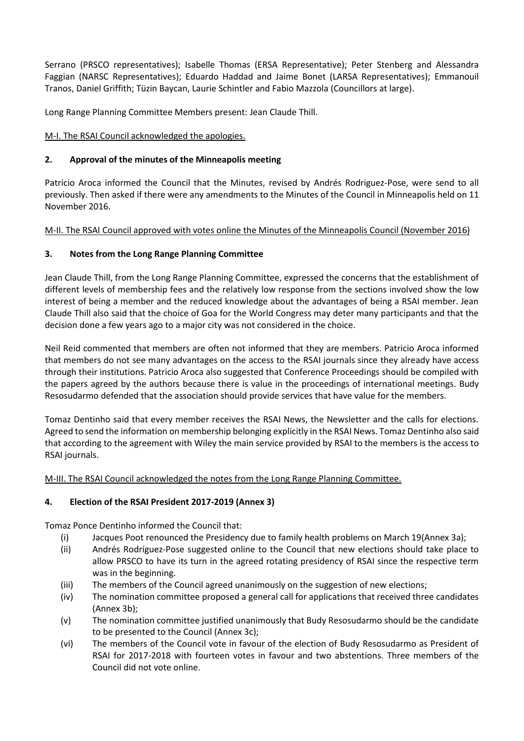Serrano (PRSCO representatives); Isabelle Thomas (ERSA Representative); Peter Stenberg and Alessandra Faggian (NARSC Representatives); Eduardo Haddad and Jaime Bonet (LARSA Representatives); Emmanouil Tranos, Daniel Griffith; Tüzin Baycan, Laurie Schintler and Fabio Mazzola (Councillors at large).

Long Range Planning Committee Members present: Jean Claude Thill.

# M-I. The RSAI Council acknowledged the apologies.

# **2. Approval of the minutes of the Minneapolis meeting**

Patricio Aroca informed the Council that the Minutes, revised by Andrés Rodriguez-Pose, were send to all previously. Then asked if there were any amendments to the Minutes of the Council in Minneapolis held on 11 November 2016.

# M-II. The RSAI Council approved with votes online the Minutes of the Minneapolis Council (November 2016)

# **3. Notes from the Long Range Planning Committee**

Jean Claude Thill, from the Long Range Planning Committee, expressed the concerns that the establishment of different levels of membership fees and the relatively low response from the sections involved show the low interest of being a member and the reduced knowledge about the advantages of being a RSAI member. Jean Claude Thill also said that the choice of Goa for the World Congress may deter many participants and that the decision done a few years ago to a major city was not considered in the choice.

Neil Reid commented that members are often not informed that they are members. Patricio Aroca informed that members do not see many advantages on the access to the RSAI journals since they already have access through their institutions. Patricio Aroca also suggested that Conference Proceedings should be compiled with the papers agreed by the authors because there is value in the proceedings of international meetings. Budy Resosudarmo defended that the association should provide services that have value for the members.

Tomaz Dentinho said that every member receives the RSAI News, the Newsletter and the calls for elections. Agreed to send the information on membership belonging explicitly in the RSAI News. Tomaz Dentinho also said that according to the agreement with Wiley the main service provided by RSAI to the members is the access to RSAI journals.

# M-III. The RSAI Council acknowledged the notes from the Long Range Planning Committee.

# **4. Election of the RSAI President 2017-2019 (Annex 3)**

Tomaz Ponce Dentinho informed the Council that:

- (i) Jacques Poot renounced the Presidency due to family health problems on March 19(Annex 3a);
- (ii) Andrés Rodríguez-Pose suggested online to the Council that new elections should take place to allow PRSCO to have its turn in the agreed rotating presidency of RSAI since the respective term was in the beginning.
- (iii) The members of the Council agreed unanimously on the suggestion of new elections;
- (iv) The nomination committee proposed a general call for applications that received three candidates (Annex 3b);
- (v) The nomination committee justified unanimously that Budy Resosudarmo should be the candidate to be presented to the Council (Annex 3c);
- (vi) The members of the Council vote in favour of the election of Budy Resosudarmo as President of RSAI for 2017-2018 with fourteen votes in favour and two abstentions. Three members of the Council did not vote online.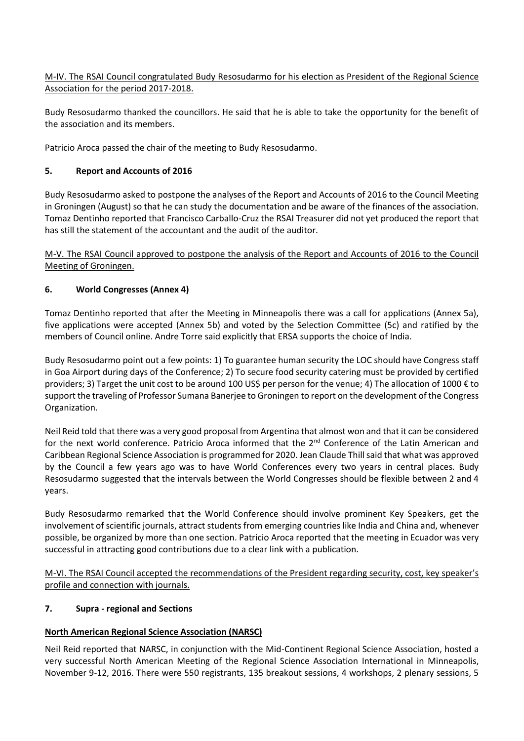M-IV. The RSAI Council congratulated Budy Resosudarmo for his election as President of the Regional Science Association for the period 2017-2018.

Budy Resosudarmo thanked the councillors. He said that he is able to take the opportunity for the benefit of the association and its members.

Patricio Aroca passed the chair of the meeting to Budy Resosudarmo.

## **5. Report and Accounts of 2016**

Budy Resosudarmo asked to postpone the analyses of the Report and Accounts of 2016 to the Council Meeting in Groningen (August) so that he can study the documentation and be aware of the finances of the association. Tomaz Dentinho reported that Francisco Carballo-Cruz the RSAI Treasurer did not yet produced the report that has still the statement of the accountant and the audit of the auditor.

M-V. The RSAI Council approved to postpone the analysis of the Report and Accounts of 2016 to the Council Meeting of Groningen.

## **6. World Congresses (Annex 4)**

Tomaz Dentinho reported that after the Meeting in Minneapolis there was a call for applications (Annex 5a), five applications were accepted (Annex 5b) and voted by the Selection Committee (5c) and ratified by the members of Council online. Andre Torre said explicitly that ERSA supports the choice of India.

Budy Resosudarmo point out a few points: 1) To guarantee human security the LOC should have Congress staff in Goa Airport during days of the Conference; 2) To secure food security catering must be provided by certified providers; 3) Target the unit cost to be around 100 US\$ per person for the venue; 4) The allocation of 1000 € to support the traveling of Professor Sumana Banerjee to Groningen to report on the development of the Congress Organization.

Neil Reid told that there was a very good proposal from Argentina that almost won and that it can be considered for the next world conference. Patricio Aroca informed that the 2<sup>nd</sup> Conference of the Latin American and Caribbean Regional Science Association is programmed for 2020. Jean Claude Thill said that what was approved by the Council a few years ago was to have World Conferences every two years in central places. Budy Resosudarmo suggested that the intervals between the World Congresses should be flexible between 2 and 4 years.

Budy Resosudarmo remarked that the World Conference should involve prominent Key Speakers, get the involvement of scientific journals, attract students from emerging countries like India and China and, whenever possible, be organized by more than one section. Patricio Aroca reported that the meeting in Ecuador was very successful in attracting good contributions due to a clear link with a publication.

M-VI. The RSAI Council accepted the recommendations of the President regarding security, cost, key speaker's profile and connection with journals.

### **7. Supra - regional and Sections**

# **North American Regional Science Association (NARSC)**

Neil Reid reported that NARSC, in conjunction with the Mid-Continent Regional Science Association, hosted a very successful North American Meeting of the Regional Science Association International in Minneapolis, November 9-12, 2016. There were 550 registrants, 135 breakout sessions, 4 workshops, 2 plenary sessions, 5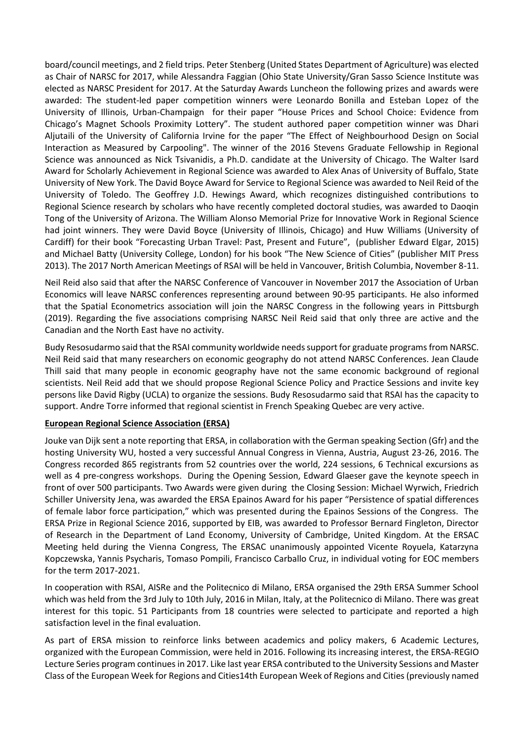board/council meetings, and 2 field trips. Peter Stenberg (United States Department of Agriculture) was elected as Chair of NARSC for 2017, while Alessandra Faggian (Ohio State University/Gran Sasso Science Institute was elected as NARSC President for 2017. At the Saturday Awards Luncheon the following prizes and awards were awarded: The student-led paper competition winners were Leonardo Bonilla and Esteban Lopez of the University of Illinois, Urban-Champaign for their paper "House Prices and School Choice: Evidence from Chicago's Magnet Schools Proximity Lottery". The student authored paper competition winner was Dhari Aljutaili of the University of California Irvine for the paper "The Effect of Neighbourhood Design on Social Interaction as Measured by Carpooling". The winner of the 2016 Stevens Graduate Fellowship in Regional Science was announced as Nick Tsivanidis, a Ph.D. candidate at the University of Chicago. The Walter Isard Award for Scholarly Achievement in Regional Science was awarded to Alex Anas of University of Buffalo, State University of New York. The David Boyce Award for Service to Regional Science was awarded to Neil Reid of the University of Toledo. The Geoffrey J.D. Hewings Award, which recognizes distinguished contributions to Regional Science research by scholars who have recently completed doctoral studies, was awarded to Daoqin Tong of the University of Arizona. The William Alonso Memorial Prize for Innovative Work in Regional Science had joint winners. They were David Boyce (University of Illinois, Chicago) and Huw Williams (University of Cardiff) for their book "Forecasting Urban Travel: Past, Present and Future", (publisher Edward Elgar, 2015) and Michael Batty (University College, London) for his book "The New Science of Cities" (publisher MIT Press 2013). The 2017 North American Meetings of RSAI will be held in Vancouver, British Columbia, November 8-11.

Neil Reid also said that after the NARSC Conference of Vancouver in November 2017 the Association of Urban Economics will leave NARSC conferences representing around between 90-95 participants. He also informed that the Spatial Econometrics association will join the NARSC Congress in the following years in Pittsburgh (2019). Regarding the five associations comprising NARSC Neil Reid said that only three are active and the Canadian and the North East have no activity.

Budy Resosudarmo said that the RSAI community worldwide needs support for graduate programs from NARSC. Neil Reid said that many researchers on economic geography do not attend NARSC Conferences. Jean Claude Thill said that many people in economic geography have not the same economic background of regional scientists. Neil Reid add that we should propose Regional Science Policy and Practice Sessions and invite key persons like David Rigby (UCLA) to organize the sessions. Budy Resosudarmo said that RSAI has the capacity to support. Andre Torre informed that regional scientist in French Speaking Quebec are very active.

### **European Regional Science Association (ERSA)**

Jouke van Dijk sent a note reporting that ERSA, in collaboration with the German speaking Section (Gfr) and the hosting University WU, hosted a very successful Annual Congress in Vienna, Austria, August 23-26, 2016. The Congress recorded 865 registrants from 52 countries over the world, 224 sessions, 6 Technical excursions as well as 4 pre-congress workshops. During the Opening Session, Edward Glaeser gave the keynote speech in front of over 500 participants. Two Awards were given during the Closing Session: Michael Wyrwich, Friedrich Schiller University Jena, was awarded the ERSA Epainos Award for his paper "Persistence of spatial differences of female labor force participation," which was presented during the Epainos Sessions of the Congress. The ERSA Prize in Regional Science 2016, supported by EIB, was awarded to Professor Bernard Fingleton, Director of Research in the Department of Land Economy, University of Cambridge, United Kingdom. At the ERSAC Meeting held during the Vienna Congress, The ERSAC unanimously appointed Vicente Royuela, Katarzyna Kopczewska, Yannis Psycharis, Tomaso Pompili, Francisco Carballo Cruz, in individual voting for EOC members for the term 2017-2021.

In cooperation with RSAI, AISRe and the Politecnico di Milano, ERSA organised the 29th ERSA Summer School which was held from the 3rd July to 10th July, 2016 in Milan, Italy, at the Politecnico di Milano. There was great interest for this topic. 51 Participants from 18 countries were selected to participate and reported a high satisfaction level in the final evaluation.

As part of ERSA mission to reinforce links between academics and policy makers, 6 Academic Lectures, organized with the European Commission, were held in 2016. Following its increasing interest, the ERSA-REGIO Lecture Series program continues in 2017. Like last year ERSA contributed to the University Sessions and Master Class of the European Week for Regions and Cities14th European Week of Regions and Cities (previously named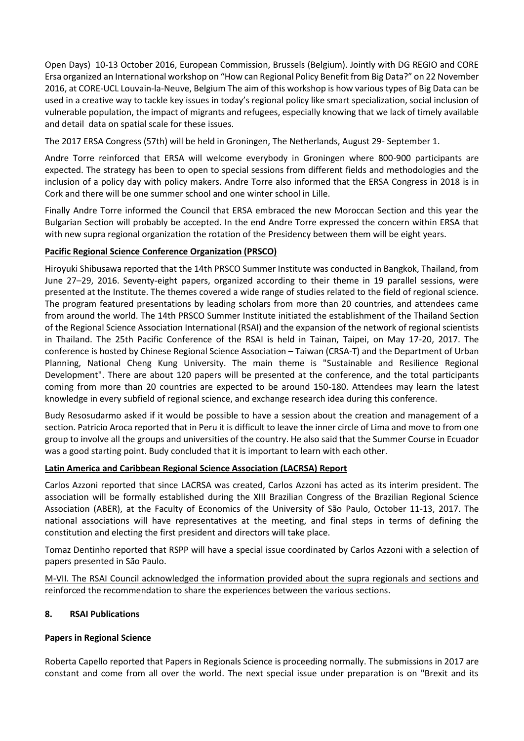Open Days) 10-13 October 2016, European Commission, Brussels (Belgium). Jointly with DG REGIO and CORE Ersa organized an International workshop on "How can Regional Policy Benefit from Big Data?" on 22 November 2016, at CORE-UCL Louvain-la-Neuve, Belgium The aim of this workshop is how various types of Big Data can be used in a creative way to tackle key issues in today's regional policy like smart specialization, social inclusion of vulnerable population, the impact of migrants and refugees, especially knowing that we lack of timely available and detail data on spatial scale for these issues.

The 2017 ERSA Congress (57th) will be held in Groningen, The Netherlands, August 29- September 1.

Andre Torre reinforced that ERSA will welcome everybody in Groningen where 800-900 participants are expected. The strategy has been to open to special sessions from different fields and methodologies and the inclusion of a policy day with policy makers. Andre Torre also informed that the ERSA Congress in 2018 is in Cork and there will be one summer school and one winter school in Lille.

Finally Andre Torre informed the Council that ERSA embraced the new Moroccan Section and this year the Bulgarian Section will probably be accepted. In the end Andre Torre expressed the concern within ERSA that with new supra regional organization the rotation of the Presidency between them will be eight years.

## **Pacific Regional Science Conference Organization (PRSCO)**

Hiroyuki Shibusawa reported that the 14th PRSCO Summer Institute was conducted in Bangkok, Thailand, from June 27–29, 2016. Seventy-eight papers, organized according to their theme in 19 parallel sessions, were presented at the Institute. The themes covered a wide range of studies related to the field of regional science. The program featured presentations by leading scholars from more than 20 countries, and attendees came from around the world. The 14th PRSCO Summer Institute initiated the establishment of the Thailand Section of the Regional Science Association International (RSAI) and the expansion of the network of regional scientists in Thailand. The 25th Pacific Conference of the RSAI is held in Tainan, Taipei, on May 17-20, 2017. The conference is hosted by Chinese Regional Science Association – Taiwan (CRSA-T) and the Department of Urban Planning, National Cheng Kung University. The main theme is "Sustainable and Resilience Regional Development". There are about 120 papers will be presented at the conference, and the total participants coming from more than 20 countries are expected to be around 150-180. Attendees may learn the latest knowledge in every subfield of regional science, and exchange research idea during this conference.

Budy Resosudarmo asked if it would be possible to have a session about the creation and management of a section. Patricio Aroca reported that in Peru it is difficult to leave the inner circle of Lima and move to from one group to involve all the groups and universities of the country. He also said that the Summer Course in Ecuador was a good starting point. Budy concluded that it is important to learn with each other.

### **Latin America and Caribbean Regional Science Association (LACRSA) Report**

Carlos Azzoni reported that since LACRSA was created, Carlos Azzoni has acted as its interim president. The association will be formally established during the XIII Brazilian Congress of the Brazilian Regional Science Association (ABER), at the Faculty of Economics of the University of São Paulo, October 11-13, 2017. The national associations will have representatives at the meeting, and final steps in terms of defining the constitution and electing the first president and directors will take place.

Tomaz Dentinho reported that RSPP will have a special issue coordinated by Carlos Azzoni with a selection of papers presented in São Paulo.

M-VII. The RSAI Council acknowledged the information provided about the supra regionals and sections and reinforced the recommendation to share the experiences between the various sections.

# **8. RSAI Publications**

### **Papers in Regional Science**

Roberta Capello reported that Papers in Regionals Science is proceeding normally. The submissions in 2017 are constant and come from all over the world. The next special issue under preparation is on "Brexit and its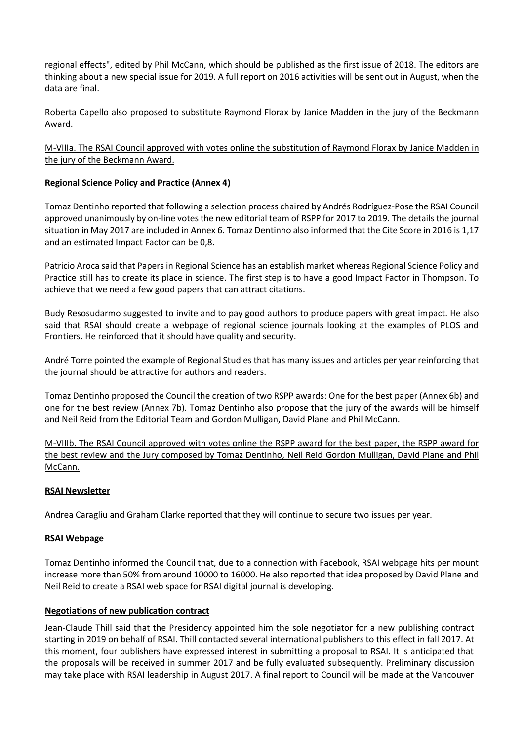regional effects", edited by Phil McCann, which should be published as the first issue of 2018. The editors are thinking about a new special issue for 2019. A full report on 2016 activities will be sent out in August, when the data are final.

Roberta Capello also proposed to substitute Raymond Florax by Janice Madden in the jury of the Beckmann Award.

M-VIIIa. The RSAI Council approved with votes online the substitution of Raymond Florax by Janice Madden in the jury of the Beckmann Award.

## **Regional Science Policy and Practice (Annex 4)**

Tomaz Dentinho reported that following a selection process chaired by Andrés Rodríguez-Pose the RSAI Council approved unanimously by on-line votes the new editorial team of RSPP for 2017 to 2019. The details the journal situation in May 2017 are included in Annex 6. Tomaz Dentinho also informed that the Cite Score in 2016 is 1,17 and an estimated Impact Factor can be 0,8.

Patricio Aroca said that Papers in Regional Science has an establish market whereas Regional Science Policy and Practice still has to create its place in science. The first step is to have a good Impact Factor in Thompson. To achieve that we need a few good papers that can attract citations.

Budy Resosudarmo suggested to invite and to pay good authors to produce papers with great impact. He also said that RSAI should create a webpage of regional science journals looking at the examples of PLOS and Frontiers. He reinforced that it should have quality and security.

André Torre pointed the example of Regional Studies that has many issues and articles per year reinforcing that the journal should be attractive for authors and readers.

Tomaz Dentinho proposed the Council the creation of two RSPP awards: One for the best paper (Annex 6b) and one for the best review (Annex 7b). Tomaz Dentinho also propose that the jury of the awards will be himself and Neil Reid from the Editorial Team and Gordon Mulligan, David Plane and Phil McCann.

M-VIIIb. The RSAI Council approved with votes online the RSPP award for the best paper, the RSPP award for the best review and the Jury composed by Tomaz Dentinho, Neil Reid Gordon Mulligan, David Plane and Phil McCann.

### **RSAI Newsletter**

Andrea Caragliu and Graham Clarke reported that they will continue to secure two issues per year.

### **RSAI Webpage**

Tomaz Dentinho informed the Council that, due to a connection with Facebook, RSAI webpage hits per mount increase more than 50% from around 10000 to 16000. He also reported that idea proposed by David Plane and Neil Reid to create a RSAI web space for RSAI digital journal is developing.

### **Negotiations of new publication contract**

Jean-Claude Thill said that the Presidency appointed him the sole negotiator for a new publishing contract starting in 2019 on behalf of RSAI. Thill contacted several international publishers to this effect in fall 2017. At this moment, four publishers have expressed interest in submitting a proposal to RSAI. It is anticipated that the proposals will be received in summer 2017 and be fully evaluated subsequently. Preliminary discussion may take place with RSAI leadership in August 2017. A final report to Council will be made at the Vancouver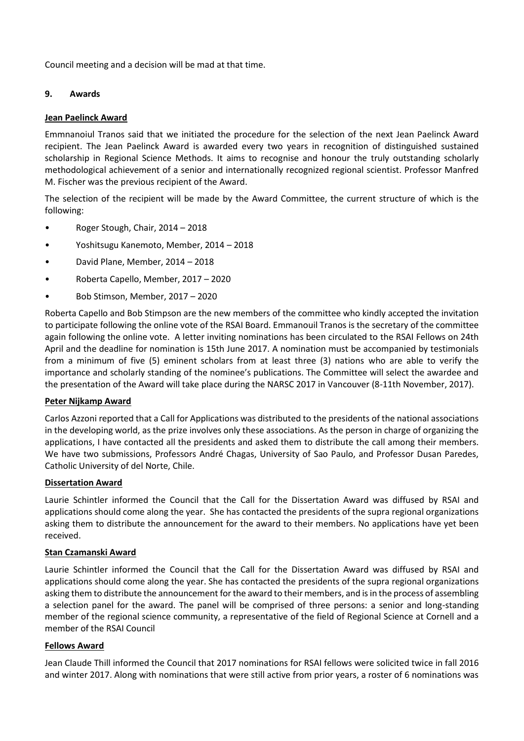Council meeting and a decision will be mad at that time.

## **9. Awards**

### **Jean Paelinck Award**

Emmnanoiul Tranos said that we initiated the procedure for the selection of the next Jean Paelinck Award recipient. The Jean Paelinck Award is awarded every two years in recognition of distinguished sustained scholarship in Regional Science Methods. It aims to recognise and honour the truly outstanding scholarly methodological achievement of a senior and internationally recognized regional scientist. Professor Manfred M. Fischer was the previous recipient of the Award.

The selection of the recipient will be made by the Award Committee, the current structure of which is the following:

- Roger Stough, Chair, 2014 2018
- Yoshitsugu Kanemoto, Member, 2014 2018
- David Plane, Member, 2014 2018
- Roberta Capello, Member, 2017 2020
- Bob Stimson, Member, 2017 2020

Roberta Capello and Bob Stimpson are the new members of the committee who kindly accepted the invitation to participate following the online vote of the RSAI Board. Emmanouil Tranos is the secretary of the committee again following the online vote. A letter inviting nominations has been circulated to the RSAI Fellows on 24th April and the deadline for nomination is 15th June 2017. A nomination must be accompanied by testimonials from a minimum of five (5) eminent scholars from at least three (3) nations who are able to verify the importance and scholarly standing of the nominee's publications. The Committee will select the awardee and the presentation of the Award will take place during the NARSC 2017 in Vancouver (8-11th November, 2017).

### **Peter Nijkamp Award**

Carlos Azzoni reported that a Call for Applications was distributed to the presidents of the national associations in the developing world, as the prize involves only these associations. As the person in charge of organizing the applications, I have contacted all the presidents and asked them to distribute the call among their members. We have two submissions, Professors André Chagas, University of Sao Paulo, and Professor Dusan Paredes, Catholic University of del Norte, Chile.

### **Dissertation Award**

Laurie Schintler informed the Council that the Call for the Dissertation Award was diffused by RSAI and applications should come along the year. She has contacted the presidents of the supra regional organizations asking them to distribute the announcement for the award to their members. No applications have yet been received.

### **Stan Czamanski Award**

Laurie Schintler informed the Council that the Call for the Dissertation Award was diffused by RSAI and applications should come along the year. She has contacted the presidents of the supra regional organizations asking them to distribute the announcement for the award to their members, and is in the process of assembling a selection panel for the award. The panel will be comprised of three persons: a senior and long-standing member of the regional science community, a representative of the field of Regional Science at Cornell and a member of the RSAI Council

### **Fellows Award**

Jean Claude Thill informed the Council that 2017 nominations for RSAI fellows were solicited twice in fall 2016 and winter 2017. Along with nominations that were still active from prior years, a roster of 6 nominations was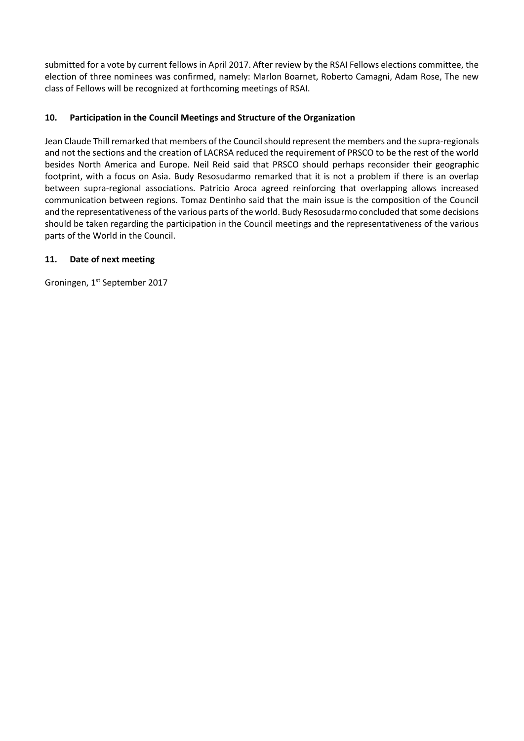submitted for a vote by current fellows in April 2017. After review by the RSAI Fellows elections committee, the election of three nominees was confirmed, namely: Marlon Boarnet, Roberto Camagni, Adam Rose, The new class of Fellows will be recognized at forthcoming meetings of RSAI.

# **10. Participation in the Council Meetings and Structure of the Organization**

Jean Claude Thill remarked that members of the Council should represent the members and the supra-regionals and not the sections and the creation of LACRSA reduced the requirement of PRSCO to be the rest of the world besides North America and Europe. Neil Reid said that PRSCO should perhaps reconsider their geographic footprint, with a focus on Asia. Budy Resosudarmo remarked that it is not a problem if there is an overlap between supra-regional associations. Patricio Aroca agreed reinforcing that overlapping allows increased communication between regions. Tomaz Dentinho said that the main issue is the composition of the Council and the representativeness of the various parts of the world. Budy Resosudarmo concluded that some decisions should be taken regarding the participation in the Council meetings and the representativeness of the various parts of the World in the Council.

# **11. Date of next meeting**

Groningen, 1st September 2017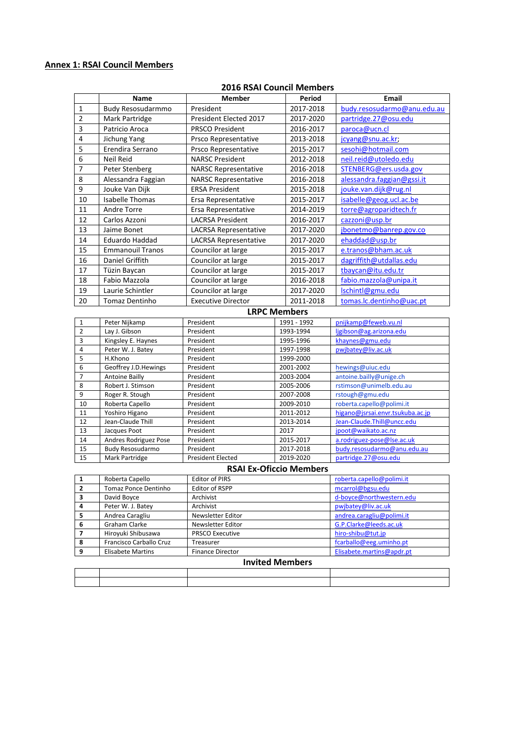## **Annex 1: RSAI Council Members**

### **2016 RSAI Council Members**

|                | <b>Name</b>             | <b>Member</b>                | Period              | <b>Email</b>                |
|----------------|-------------------------|------------------------------|---------------------|-----------------------------|
| 1              | Budy Resosudarmmo       | President                    | 2017-2018           | budy.resosudarmo@anu.edu.au |
| 2              | Mark Partridge          | President Elected 2017       | 2017-2020           | partridge.27@osu.edu        |
| 3              | Patricio Aroca          | <b>PRSCO President</b>       | 2016-2017           | paroca@ucn.cl               |
| 4              | Jichung Yang            | Prsco Representative         | 2013-2018           | jcyang@snu.ac.kr;           |
| 5              | Erendira Serrano        | Prsco Representative         | 2015-2017           | sesohi@hotmail.com          |
| 6              | <b>Neil Reid</b>        | <b>NARSC President</b>       | 2012-2018           | neil.reid@utoledo.edu       |
| 7              | Peter Stenberg          | <b>NARSC Representative</b>  | 2016-2018           | STENBERG@ers.usda.gov       |
| 8              | Alessandra Faggian      | <b>NARSC Representative</b>  | 2016-2018           | alessandra.faggian@gssi.it  |
| 9              | Jouke Van Dijk          | <b>ERSA President</b>        | 2015-2018           | jouke.van.dijk@rug.nl       |
| 10             | <b>Isabelle Thomas</b>  | Ersa Representative          | 2015-2017           | isabelle@geog.ucl.ac.be     |
| 11             | <b>Andre Torre</b>      | Ersa Representative          | 2014-2019           | torre@agroparidtech.fr      |
| 12             | Carlos Azzoni           | <b>LACRSA President</b>      | 2016-2017           | cazzoni@usp.br              |
| 13             | Jaime Bonet             | <b>LACRSA Representative</b> | 2017-2020           | jbonetmo@banrep.gov.co      |
| 14             | Eduardo Haddad          | <b>LACRSA Representative</b> | 2017-2020           | ehaddad@usp.br              |
| 15             | <b>Emmanouil Tranos</b> | Councilor at large           | 2015-2017           | e.tranos@bham.ac.uk         |
| 16             | Daniel Griffith         | Councilor at large           | 2015-2017           | dagriffith@utdallas.edu     |
| 17             | Tüzin Baycan            | Councilor at large           | 2015-2017           | tbaycan@itu.edu.tr          |
| 18             | Fabio Mazzola           | Councilor at large           | 2016-2018           | fabio.mazzola@unipa.it      |
| 19             | Laurie Schintler        | Councilor at large           | 2017-2020           | Ischintl@gmu.edu            |
| 20             | <b>Tomaz Dentinho</b>   | <b>Executive Director</b>    | 2011-2018           | tomas.lc.dentinho@uac.pt    |
|                |                         |                              | <b>LRPC Members</b> |                             |
| $\mathbf{1}$   | Peter Nijkamp           | President                    | 1991 - 1992         | pnijkamp@feweb.vu.nl        |
| $\overline{2}$ | Lay J. Gibson           | President                    | 1993-1994           | ligibson@ag.arizona.edu     |
| 3              | Kingsley E. Haynes      | President                    | 1995-1996           | khaynes@gmu.edu             |
| $\Delta$       | Peter W   Ratev         | President                    | 1997-1998           | nwihatev@liv ac uk          |

| 3  | Kingsley E. Haynes    | President                | 1995-1996 | khaynes@gmu.edu                  |
|----|-----------------------|--------------------------|-----------|----------------------------------|
| 4  | Peter W. J. Batey     | President                | 1997-1998 | pwjbatey@liv.ac.uk               |
| 5  | H.Khono               | President                | 1999-2000 |                                  |
| 6  | Geoffrey J.D. Hewings | President                | 2001-2002 | hewings@uiuc.edu                 |
|    | Antoine Bailly        | President                | 2003-2004 | antoine.bailly@unige.ch          |
| 8  | Robert J. Stimson     | President                | 2005-2006 | rstimson@unimelb.edu.au          |
| 9  | Roger R. Stough       | President                | 2007-2008 | rstough@gmu.edu                  |
| 10 | Roberta Capello       | President                | 2009-2010 | roberta.capello@polimi.it        |
| 11 | Yoshiro Higano        | President                | 2011-2012 | higano@jsrsai.envr.tsukuba.ac.jp |
| 12 | Jean-Claude Thill     | President                | 2013-2014 | Jean-Claude.Thill@uncc.edu       |
| 13 | Jacques Poot          | President                | 2017      | jpoot@waikato.ac.nz              |
| 14 | Andres Rodriguez Pose | President                | 2015-2017 | a.rodriguez-pose@lse.ac.uk       |
| 15 | Budy Resosudarmo      | President                | 2017-2018 | budy.resosudarmo@anu.edu.au      |
| 15 | Mark Partridge        | <b>President Elected</b> | 2019-2020 | partridge.27@osu.edu             |

### **RSAI Ex-Oficcio Members**

|         | Roberta Capello          | <b>Editor of PIRS</b>   | roberta.capello@polimi.it |
|---------|--------------------------|-------------------------|---------------------------|
|         | Tomaz Ponce Dentinho     | <b>Editor of RSPP</b>   | mcarrol@bgsu.edu          |
|         | David Boyce              | Archivist               | d-boyce@northwestern.edu  |
| 4       | Peter W. J. Batey        | Archivist               | pwjbatey@liv.ac.uk        |
|         | Andrea Caragliu          | Newsletter Editor       | andrea.caragliu@polimi.it |
| 6       | Graham Clarke            | Newsletter Editor       | G.P.Clarke@leeds.ac.uk    |
|         | Hiroyuki Shibusawa       | <b>PRSCO Executive</b>  | hiro-shibu@tut.jp         |
| 8       | Francisco Carballo Cruz  | Treasurer               | fcarballo@eeg.uminho.pt   |
| $\circ$ | <b>Elisabete Martins</b> | <b>Finance Director</b> | Elisabete.martins@apdr.pt |

#### **Invited Members**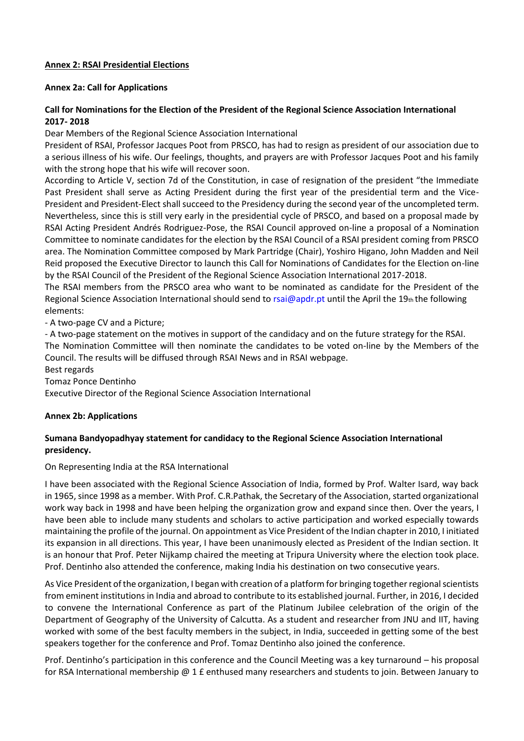## **Annex 2: RSAI Presidential Elections**

### **Annex 2a: Call for Applications**

## **Call for Nominations for the Election of the President of the Regional Science Association International 2017- 2018**

Dear Members of the Regional Science Association International

President of RSAI, Professor Jacques Poot from PRSCO, has had to resign as president of our association due to a serious illness of his wife. Our feelings, thoughts, and prayers are with Professor Jacques Poot and his family with the strong hope that his wife will recover soon.

According to Article V, section 7d of the Constitution, in case of resignation of the president "the Immediate Past President shall serve as Acting President during the first year of the presidential term and the Vice-President and President-Elect shall succeed to the Presidency during the second year of the uncompleted term. Nevertheless, since this is still very early in the presidential cycle of PRSCO, and based on a proposal made by RSAI Acting President Andrés Rodriguez-Pose, the RSAI Council approved on-line a proposal of a Nomination Committee to nominate candidates for the election by the RSAI Council of a RSAI president coming from PRSCO area. The Nomination Committee composed by Mark Partridge (Chair), Yoshiro Higano, John Madden and Neil Reid proposed the Executive Director to launch this Call for Nominations of Candidates for the Election on-line by the RSAI Council of the President of the Regional Science Association International 2017-2018.

The RSAI members from the PRSCO area who want to be nominated as candidate for the President of the Regional Science Association International should send to rsai@apdr.pt until the April the 19th the following elements:

- A two-page CV and a Picture;

- A two-page statement on the motives in support of the candidacy and on the future strategy for the RSAI.

The Nomination Committee will then nominate the candidates to be voted on-line by the Members of the Council. The results will be diffused through RSAI News and in RSAI webpage.

Best regards

Tomaz Ponce Dentinho

Executive Director of the Regional Science Association International

### **Annex 2b: Applications**

## **Sumana Bandyopadhyay statement for candidacy to the Regional Science Association International presidency.**

On Representing India at the RSA International

I have been associated with the Regional Science Association of India, formed by Prof. Walter Isard, way back in 1965, since 1998 as a member. With Prof. C.R.Pathak, the Secretary of the Association, started organizational work way back in 1998 and have been helping the organization grow and expand since then. Over the years, I have been able to include many students and scholars to active participation and worked especially towards maintaining the profile of the journal. On appointment as Vice President of the Indian chapter in 2010, I initiated its expansion in all directions. This year, I have been unanimously elected as President of the Indian section. It is an honour that Prof. Peter Nijkamp chaired the meeting at Tripura University where the election took place. Prof. Dentinho also attended the conference, making India his destination on two consecutive years.

As Vice President of the organization, I began with creation of a platform for bringing together regional scientists from eminent institutions in India and abroad to contribute to its established journal. Further, in 2016, I decided to convene the International Conference as part of the Platinum Jubilee celebration of the origin of the Department of Geography of the University of Calcutta. As a student and researcher from JNU and IIT, having worked with some of the best faculty members in the subject, in India, succeeded in getting some of the best speakers together for the conference and Prof. Tomaz Dentinho also joined the conference.

Prof. Dentinho's participation in this conference and the Council Meeting was a key turnaround – his proposal for RSA International membership @ 1 £ enthused many researchers and students to join. Between January to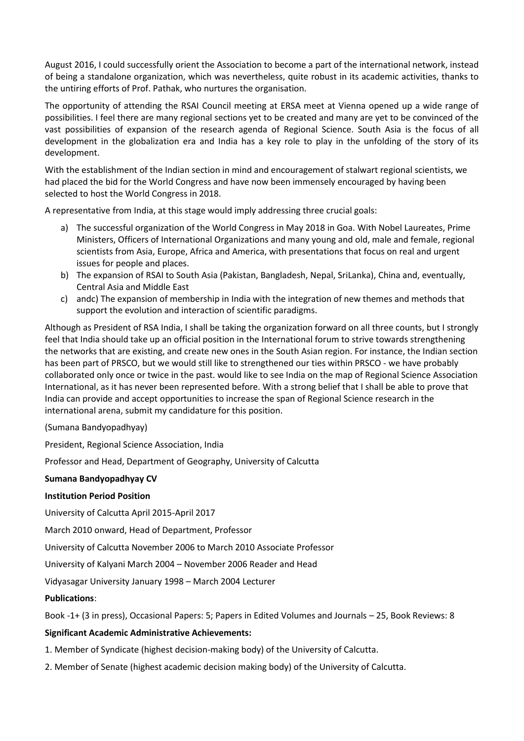August 2016, I could successfully orient the Association to become a part of the international network, instead of being a standalone organization, which was nevertheless, quite robust in its academic activities, thanks to the untiring efforts of Prof. Pathak, who nurtures the organisation.

The opportunity of attending the RSAI Council meeting at ERSA meet at Vienna opened up a wide range of possibilities. I feel there are many regional sections yet to be created and many are yet to be convinced of the vast possibilities of expansion of the research agenda of Regional Science. South Asia is the focus of all development in the globalization era and India has a key role to play in the unfolding of the story of its development.

With the establishment of the Indian section in mind and encouragement of stalwart regional scientists, we had placed the bid for the World Congress and have now been immensely encouraged by having been selected to host the World Congress in 2018.

A representative from India, at this stage would imply addressing three crucial goals:

- a) The successful organization of the World Congress in May 2018 in Goa. With Nobel Laureates, Prime Ministers, Officers of International Organizations and many young and old, male and female, regional scientists from Asia, Europe, Africa and America, with presentations that focus on real and urgent issues for people and places.
- b) The expansion of RSAI to South Asia (Pakistan, Bangladesh, Nepal, SriLanka), China and, eventually, Central Asia and Middle East
- c) andc) The expansion of membership in India with the integration of new themes and methods that support the evolution and interaction of scientific paradigms.

Although as President of RSA India, I shall be taking the organization forward on all three counts, but I strongly feel that India should take up an official position in the International forum to strive towards strengthening the networks that are existing, and create new ones in the South Asian region. For instance, the Indian section has been part of PRSCO, but we would still like to strengthened our ties within PRSCO - we have probably collaborated only once or twice in the past. would like to see India on the map of Regional Science Association International, as it has never been represented before. With a strong belief that I shall be able to prove that India can provide and accept opportunities to increase the span of Regional Science research in the international arena, submit my candidature for this position.

### (Sumana Bandyopadhyay)

President, Regional Science Association, India

Professor and Head, Department of Geography, University of Calcutta

### **Sumana Bandyopadhyay CV**

### **Institution Period Position**

University of Calcutta April 2015-April 2017

March 2010 onward, Head of Department, Professor

University of Calcutta November 2006 to March 2010 Associate Professor

University of Kalyani March 2004 – November 2006 Reader and Head

Vidyasagar University January 1998 – March 2004 Lecturer

# **Publications**:

Book -1+ (3 in press), Occasional Papers: 5; Papers in Edited Volumes and Journals – 25, Book Reviews: 8

### **Significant Academic Administrative Achievements:**

- 1. Member of Syndicate (highest decision-making body) of the University of Calcutta.
- 2. Member of Senate (highest academic decision making body) of the University of Calcutta.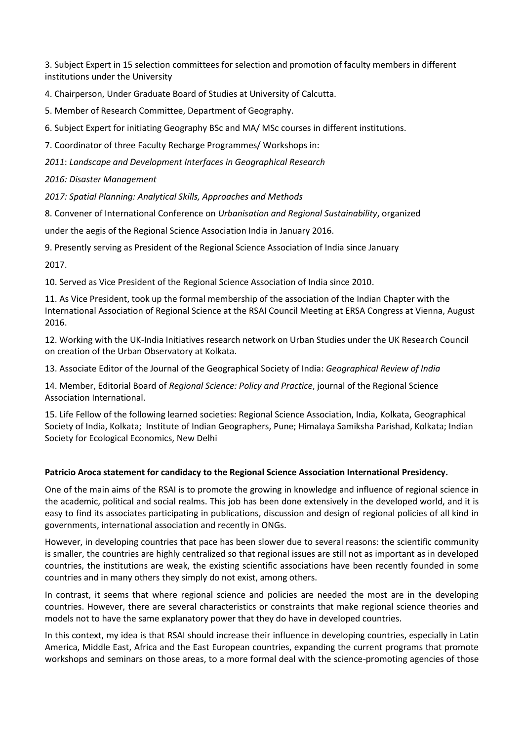3. Subject Expert in 15 selection committees for selection and promotion of faculty members in different institutions under the University

4. Chairperson, Under Graduate Board of Studies at University of Calcutta.

5. Member of Research Committee, Department of Geography.

6. Subject Expert for initiating Geography BSc and MA/ MSc courses in different institutions.

7. Coordinator of three Faculty Recharge Programmes/ Workshops in:

*2011*: *Landscape and Development Interfaces in Geographical Research*

*2016: Disaster Management*

*2017: Spatial Planning: Analytical Skills, Approaches and Methods*

8. Convener of International Conference on *Urbanisation and Regional Sustainability*, organized

under the aegis of the Regional Science Association India in January 2016.

9. Presently serving as President of the Regional Science Association of India since January

2017.

10. Served as Vice President of the Regional Science Association of India since 2010.

11. As Vice President, took up the formal membership of the association of the Indian Chapter with the International Association of Regional Science at the RSAI Council Meeting at ERSA Congress at Vienna, August 2016.

12. Working with the UK-India Initiatives research network on Urban Studies under the UK Research Council on creation of the Urban Observatory at Kolkata.

13. Associate Editor of the Journal of the Geographical Society of India: *Geographical Review of India*

14. Member, Editorial Board of *Regional Science: Policy and Practice*, journal of the Regional Science Association International.

15. Life Fellow of the following learned societies: Regional Science Association, India, Kolkata, Geographical Society of India, Kolkata; Institute of Indian Geographers, Pune; Himalaya Samiksha Parishad, Kolkata; Indian Society for Ecological Economics, New Delhi

# **Patricio Aroca statement for candidacy to the Regional Science Association International Presidency.**

One of the main aims of the RSAI is to promote the growing in knowledge and influence of regional science in the academic, political and social realms. This job has been done extensively in the developed world, and it is easy to find its associates participating in publications, discussion and design of regional policies of all kind in governments, international association and recently in ONGs.

However, in developing countries that pace has been slower due to several reasons: the scientific community is smaller, the countries are highly centralized so that regional issues are still not as important as in developed countries, the institutions are weak, the existing scientific associations have been recently founded in some countries and in many others they simply do not exist, among others.

In contrast, it seems that where regional science and policies are needed the most are in the developing countries. However, there are several characteristics or constraints that make regional science theories and models not to have the same explanatory power that they do have in developed countries.

In this context, my idea is that RSAI should increase their influence in developing countries, especially in Latin America, Middle East, Africa and the East European countries, expanding the current programs that promote workshops and seminars on those areas, to a more formal deal with the science-promoting agencies of those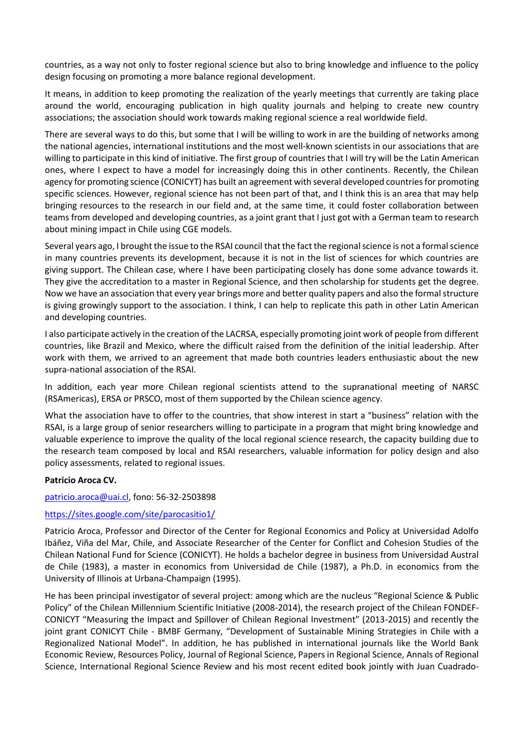countries, as a way not only to foster regional science but also to bring knowledge and influence to the policy design focusing on promoting a more balance regional development.

It means, in addition to keep promoting the realization of the yearly meetings that currently are taking place around the world, encouraging publication in high quality journals and helping to create new country associations; the association should work towards making regional science a real worldwide field.

There are several ways to do this, but some that I will be willing to work in are the building of networks among the national agencies, international institutions and the most well-known scientists in our associations that are willing to participate in this kind of initiative. The first group of countries that I will try will be the Latin American ones, where I expect to have a model for increasingly doing this in other continents. Recently, the Chilean agency for promoting science (CONICYT) has built an agreement with several developed countries for promoting specific sciences. However, regional science has not been part of that, and I think this is an area that may help bringing resources to the research in our field and, at the same time, it could foster collaboration between teams from developed and developing countries, as a joint grant that I just got with a German team to research about mining impact in Chile using CGE models.

Several years ago, I brought the issue to the RSAI council that the fact the regional science is not a formal science in many countries prevents its development, because it is not in the list of sciences for which countries are giving support. The Chilean case, where I have been participating closely has done some advance towards it. They give the accreditation to a master in Regional Science, and then scholarship for students get the degree. Now we have an association that every year brings more and better quality papers and also the formal structure is giving growingly support to the association. I think, I can help to replicate this path in other Latin American and developing countries.

I also participate actively in the creation of the LACRSA, especially promoting joint work of people from different countries, like Brazil and Mexico, where the difficult raised from the definition of the initial leadership. After work with them, we arrived to an agreement that made both countries leaders enthusiastic about the new supra-national association of the RSAI.

In addition, each year more Chilean regional scientists attend to the supranational meeting of NARSC (RSAmericas), ERSA or PRSCO, most of them supported by the Chilean science agency.

What the association have to offer to the countries, that show interest in start a "business" relation with the RSAI, is a large group of senior researchers willing to participate in a program that might bring knowledge and valuable experience to improve the quality of the local regional science research, the capacity building due to the research team composed by local and RSAI researchers, valuable information for policy design and also policy assessments, related to regional issues.

### **Patricio Aroca CV.**

[patricio.aroca@uai.cl,](mailto:patricio.aroca@uai.cl) fono: 56-32-2503898

### <https://sites.google.com/site/parocasitio1/>

Patricio Aroca, Professor and Director of the Center for Regional Economics and Policy at Universidad Adolfo Ibáñez, Viña del Mar, Chile, and Associate Researcher of the Center for Conflict and Cohesion Studies of the Chilean National Fund for Science (CONICYT). He holds a bachelor degree in business from Universidad Austral de Chile (1983), a master in economics from Universidad de Chile (1987), a Ph.D. in economics from the University of Illinois at Urbana-Champaign (1995).

He has been principal investigator of several project: among which are the nucleus "Regional Science & Public Policy" of the Chilean Millennium Scientific Initiative (2008-2014), the research project of the Chilean FONDEF-CONICYT "Measuring the Impact and Spillover of Chilean Regional Investment" (2013-2015) and recently the joint grant CONICYT Chile - BMBF Germany, "Development of Sustainable Mining Strategies in Chile with a Regionalized National Model". In addition, he has published in international journals like the World Bank Economic Review, Resources Policy, Journal of Regional Science, Papers in Regional Science, Annals of Regional Science, International Regional Science Review and his most recent edited book jointly with Juan Cuadrado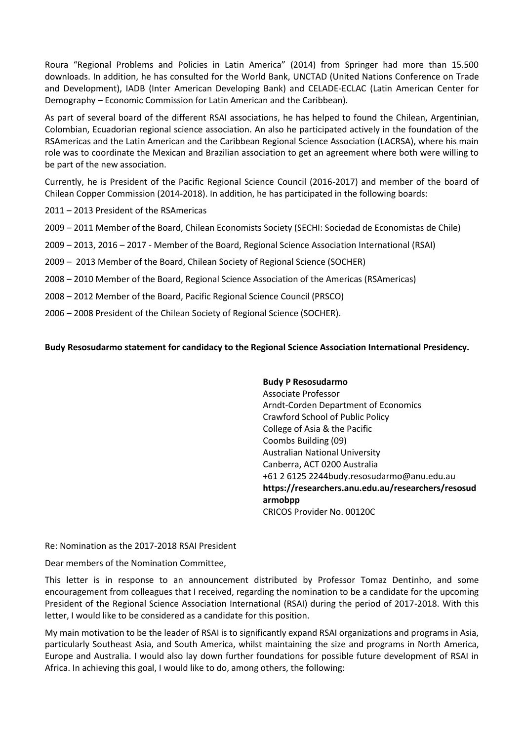Roura "Regional Problems and Policies in Latin America" (2014) from Springer had more than 15.500 downloads. In addition, he has consulted for the World Bank, UNCTAD (United Nations Conference on Trade and Development), IADB (Inter American Developing Bank) and CELADE-ECLAC (Latin American Center for Demography – Economic Commission for Latin American and the Caribbean).

As part of several board of the different RSAI associations, he has helped to found the Chilean, Argentinian, Colombian, Ecuadorian regional science association. An also he participated actively in the foundation of the RSAmericas and the Latin American and the Caribbean Regional Science Association (LACRSA), where his main role was to coordinate the Mexican and Brazilian association to get an agreement where both were willing to be part of the new association.

Currently, he is President of the Pacific Regional Science Council (2016-2017) and member of the board of Chilean Copper Commission (2014-2018). In addition, he has participated in the following boards:

2011 – 2013 President of the RSAmericas

- 2009 2011 Member of the Board, Chilean Economists Society (SECHI: Sociedad de Economistas de Chile)
- 2009 2013, 2016 2017 Member of the Board, Regional Science Association International (RSAI)
- 2009 2013 Member of the Board, Chilean Society of Regional Science (SOCHER)
- 2008 2010 Member of the Board, Regional Science Association of the Americas (RSAmericas)
- 2008 2012 Member of the Board, Pacific Regional Science Council (PRSCO)
- 2006 2008 President of the Chilean Society of Regional Science (SOCHER).

**Budy Resosudarmo statement for candidacy to the Regional Science Association International Presidency.**

**Budy P Resosudarmo** Associate Professor Arndt-Corden Department of Economics Crawford School of Public Policy College of Asia & the Pacific Coombs Building (09) Australian National University Canberra, ACT 0200 Australia +61 2 6125 2244budy.resosudarmo@anu.edu.au **https://researchers.anu.edu.au/researchers/resosud armobpp** CRICOS Provider No. 00120C

Re: Nomination as the 2017-2018 RSAI President

Dear members of the Nomination Committee,

This letter is in response to an announcement distributed by Professor Tomaz Dentinho, and some encouragement from colleagues that I received, regarding the nomination to be a candidate for the upcoming President of the Regional Science Association International (RSAI) during the period of 2017-2018. With this letter, I would like to be considered as a candidate for this position.

My main motivation to be the leader of RSAI is to significantly expand RSAI organizations and programs in Asia, particularly Southeast Asia, and South America, whilst maintaining the size and programs in North America, Europe and Australia. I would also lay down further foundations for possible future development of RSAI in Africa. In achieving this goal, I would like to do, among others, the following: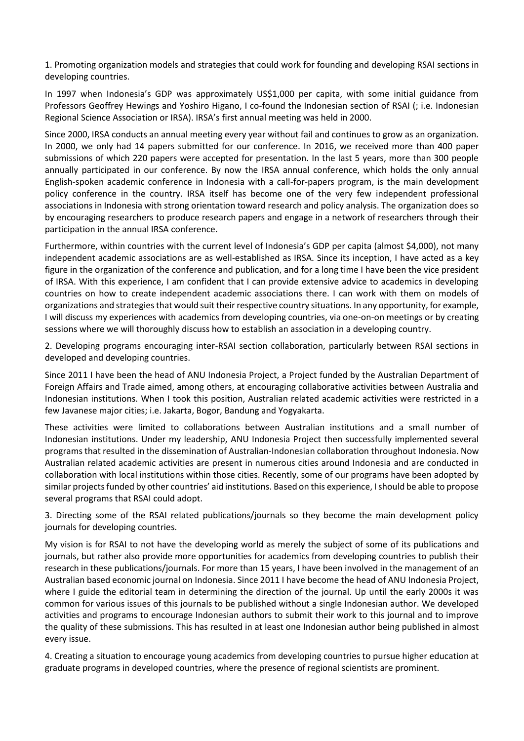1. Promoting organization models and strategies that could work for founding and developing RSAI sections in developing countries.

In 1997 when Indonesia's GDP was approximately US\$1,000 per capita, with some initial guidance from Professors Geoffrey Hewings and Yoshiro Higano, I co-found the Indonesian section of RSAI (; i.e. Indonesian Regional Science Association or IRSA). IRSA's first annual meeting was held in 2000.

Since 2000, IRSA conducts an annual meeting every year without fail and continues to grow as an organization. In 2000, we only had 14 papers submitted for our conference. In 2016, we received more than 400 paper submissions of which 220 papers were accepted for presentation. In the last 5 years, more than 300 people annually participated in our conference. By now the IRSA annual conference, which holds the only annual English-spoken academic conference in Indonesia with a call-for-papers program, is the main development policy conference in the country. IRSA itself has become one of the very few independent professional associations in Indonesia with strong orientation toward research and policy analysis. The organization does so by encouraging researchers to produce research papers and engage in a network of researchers through their participation in the annual IRSA conference.

Furthermore, within countries with the current level of Indonesia's GDP per capita (almost \$4,000), not many independent academic associations are as well-established as IRSA. Since its inception, I have acted as a key figure in the organization of the conference and publication, and for a long time I have been the vice president of IRSA. With this experience, I am confident that I can provide extensive advice to academics in developing countries on how to create independent academic associations there. I can work with them on models of organizations and strategies that would suit their respective country situations. In any opportunity, for example, I will discuss my experiences with academics from developing countries, via one-on-on meetings or by creating sessions where we will thoroughly discuss how to establish an association in a developing country.

2. Developing programs encouraging inter-RSAI section collaboration, particularly between RSAI sections in developed and developing countries.

Since 2011 I have been the head of ANU Indonesia Project, a Project funded by the Australian Department of Foreign Affairs and Trade aimed, among others, at encouraging collaborative activities between Australia and Indonesian institutions. When I took this position, Australian related academic activities were restricted in a few Javanese major cities; i.e. Jakarta, Bogor, Bandung and Yogyakarta.

These activities were limited to collaborations between Australian institutions and a small number of Indonesian institutions. Under my leadership, ANU Indonesia Project then successfully implemented several programs that resulted in the dissemination of Australian-Indonesian collaboration throughout Indonesia. Now Australian related academic activities are present in numerous cities around Indonesia and are conducted in collaboration with local institutions within those cities. Recently, some of our programs have been adopted by similar projects funded by other countries' aid institutions. Based on this experience, I should be able to propose several programs that RSAI could adopt.

3. Directing some of the RSAI related publications/journals so they become the main development policy journals for developing countries.

My vision is for RSAI to not have the developing world as merely the subject of some of its publications and journals, but rather also provide more opportunities for academics from developing countries to publish their research in these publications/journals. For more than 15 years, I have been involved in the management of an Australian based economic journal on Indonesia. Since 2011 I have become the head of ANU Indonesia Project, where I guide the editorial team in determining the direction of the journal. Up until the early 2000s it was common for various issues of this journals to be published without a single Indonesian author. We developed activities and programs to encourage Indonesian authors to submit their work to this journal and to improve the quality of these submissions. This has resulted in at least one Indonesian author being published in almost every issue.

4. Creating a situation to encourage young academics from developing countries to pursue higher education at graduate programs in developed countries, where the presence of regional scientists are prominent.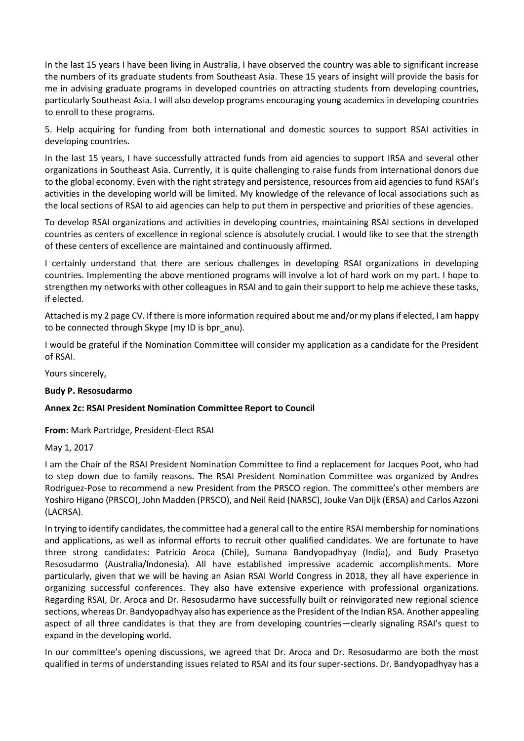In the last 15 years I have been living in Australia, I have observed the country was able to significant increase the numbers of its graduate students from Southeast Asia. These 15 years of insight will provide the basis for me in advising graduate programs in developed countries on attracting students from developing countries, particularly Southeast Asia. I will also develop programs encouraging young academics in developing countries to enroll to these programs.

5. Help acquiring for funding from both international and domestic sources to support RSAI activities in developing countries.

In the last 15 years, I have successfully attracted funds from aid agencies to support IRSA and several other organizations in Southeast Asia. Currently, it is quite challenging to raise funds from international donors due to the global economy. Even with the right strategy and persistence, resources from aid agencies to fund RSAI's activities in the developing world will be limited. My knowledge of the relevance of local associations such as the local sections of RSAI to aid agencies can help to put them in perspective and priorities of these agencies.

To develop RSAI organizations and activities in developing countries, maintaining RSAI sections in developed countries as centers of excellence in regional science is absolutely crucial. I would like to see that the strength of these centers of excellence are maintained and continuously affirmed.

I certainly understand that there are serious challenges in developing RSAI organizations in developing countries. Implementing the above mentioned programs will involve a lot of hard work on my part. I hope to strengthen my networks with other colleagues in RSAI and to gain their support to help me achieve these tasks, if elected.

Attached is my 2 page CV. If there is more information required about me and/or my plans if elected, I am happy to be connected through Skype (my ID is bpr\_anu).

I would be grateful if the Nomination Committee will consider my application as a candidate for the President of RSAI.

Yours sincerely,

### **Budy P. Resosudarmo**

### **Annex 2c: RSAI President Nomination Committee Report to Council**

**From:** Mark Partridge, President-Elect RSAI

May 1, 2017

I am the Chair of the RSAI President Nomination Committee to find a replacement for Jacques Poot, who had to step down due to family reasons. The RSAI President Nomination Committee was organized by Andres Rodriguez-Pose to recommend a new President from the PRSCO region. The committee's other members are Yoshiro Higano (PRSCO), John Madden (PRSCO), and Neil Reid (NARSC), Jouke Van Dijk (ERSA) and Carlos Azzoni (LACRSA).

In trying to identify candidates, the committee had a general call to the entire RSAI membership for nominations and applications, as well as informal efforts to recruit other qualified candidates. We are fortunate to have three strong candidates: Patricio Aroca (Chile), Sumana Bandyopadhyay (India), and Budy Prasetyo Resosudarmo (Australia/Indonesia). All have established impressive academic accomplishments. More particularly, given that we will be having an Asian RSAI World Congress in 2018, they all have experience in organizing successful conferences. They also have extensive experience with professional organizations. Regarding RSAI, Dr. Aroca and Dr. Resosudarmo have successfully built or reinvigorated new regional science sections, whereas Dr. Bandyopadhyay also has experience as the President of the Indian RSA. Another appealing aspect of all three candidates is that they are from developing countries—clearly signaling RSAI's quest to expand in the developing world.

In our committee's opening discussions, we agreed that Dr. Aroca and Dr. Resosudarmo are both the most qualified in terms of understanding issues related to RSAI and its four super-sections. Dr. Bandyopadhyay has a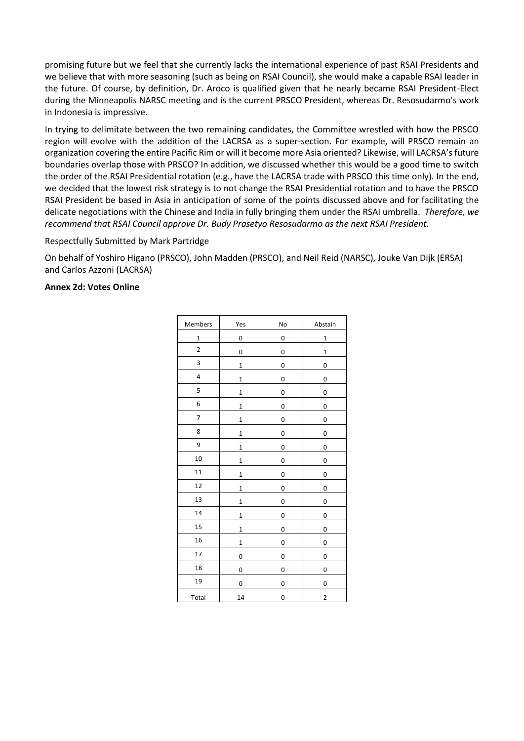promising future but we feel that she currently lacks the international experience of past RSAI Presidents and we believe that with more seasoning (such as being on RSAI Council), she would make a capable RSAI leader in the future. Of course, by definition, Dr. Aroco is qualified given that he nearly became RSAI President-Elect during the Minneapolis NARSC meeting and is the current PRSCO President, whereas Dr. Resosudarmo's work in Indonesia is impressive.

In trying to delimitate between the two remaining candidates, the Committee wrestled with how the PRSCO region will evolve with the addition of the LACRSA as a super-section. For example, will PRSCO remain an organization covering the entire Pacific Rim or will it become more Asia oriented? Likewise, will LACRSA's future boundaries overlap those with PRSCO? In addition, we discussed whether this would be a good time to switch the order of the RSAI Presidential rotation (e.g., have the LACRSA trade with PRSCO this time only). In the end, we decided that the lowest risk strategy is to not change the RSAI Presidential rotation and to have the PRSCO RSAI President be based in Asia in anticipation of some of the points discussed above and for facilitating the delicate negotiations with the Chinese and India in fully bringing them under the RSAI umbrella. *Therefore, we recommend that RSAI Council approve Dr. Budy Prasetyo Resosudarmo as the next RSAI President.*

### Respectfully Submitted by Mark Partridge

On behalf of Yoshiro Higano (PRSCO), John Madden (PRSCO), and Neil Reid (NARSC), Jouke Van Dijk (ERSA) and Carlos Azzoni (LACRSA)

## **Annex 2d: Votes Online**

| Members                 | Yes          | No | Abstain        |
|-------------------------|--------------|----|----------------|
| $\mathbf 1$             | 0            | 0  | $\mathbf{1}$   |
| $\overline{\mathbf{c}}$ | 0            | 0  | $\mathbf{1}$   |
| 3                       | $\mathbf 1$  | 0  | 0              |
| 4                       | $\mathbf{1}$ | 0  | 0              |
| 5                       | $\mathbf 1$  | 0  | 0              |
| 6                       | $\mathbf{1}$ | 0  | 0              |
| $\overline{7}$          | $\mathbf{1}$ | 0  | 0              |
| 8                       | $\mathbf 1$  | 0  | 0              |
| 9                       | $\mathbf{1}$ | 0  | 0              |
| 10                      | $\mathbf{1}$ | 0  | 0              |
| 11                      | $\mathbf 1$  | 0  | 0              |
| 12                      | $\mathbf 1$  | 0  | 0              |
| 13                      | $\mathbf{1}$ | 0  | 0              |
| 14                      | $\mathbf{1}$ | 0  | 0              |
| 15                      | $\mathbf 1$  | 0  | 0              |
| 16                      | $\mathbf{1}$ | 0  | 0              |
| 17                      | 0            | 0  | 0              |
| 18                      | 0            | 0  | 0              |
| 19                      | 0            | 0  | 0              |
| Total                   | 14           | 0  | $\overline{2}$ |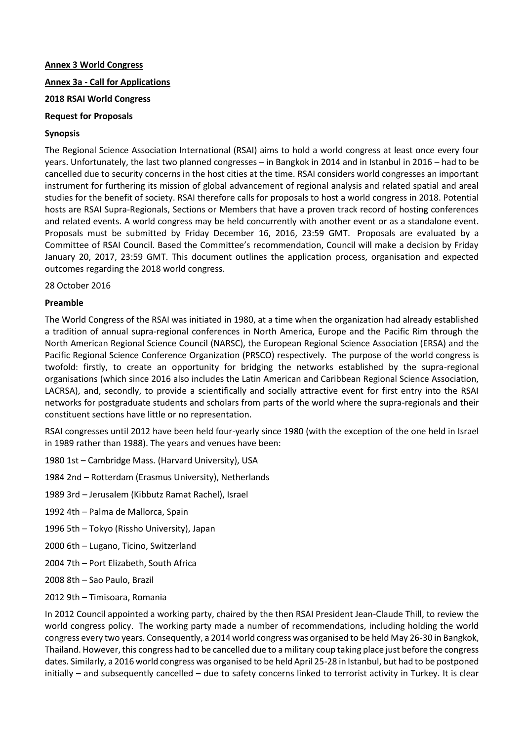### **Annex 3 World Congress**

## **Annex 3a - Call for Applications**

## **2018 RSAI World Congress**

## **Request for Proposals**

## **Synopsis**

The Regional Science Association International (RSAI) aims to hold a world congress at least once every four years. Unfortunately, the last two planned congresses – in Bangkok in 2014 and in Istanbul in 2016 – had to be cancelled due to security concerns in the host cities at the time. RSAI considers world congresses an important instrument for furthering its mission of global advancement of regional analysis and related spatial and areal studies for the benefit of society. RSAI therefore calls for proposals to host a world congress in 2018. Potential hosts are RSAI Supra-Regionals, Sections or Members that have a proven track record of hosting conferences and related events. A world congress may be held concurrently with another event or as a standalone event. Proposals must be submitted by Friday December 16, 2016, 23:59 GMT. Proposals are evaluated by a Committee of RSAI Council. Based the Committee's recommendation, Council will make a decision by Friday January 20, 2017, 23:59 GMT. This document outlines the application process, organisation and expected outcomes regarding the 2018 world congress.

28 October 2016

## **Preamble**

The World Congress of the RSAI was initiated in 1980, at a time when the organization had already established a tradition of annual supra-regional conferences in North America, Europe and the Pacific Rim through the North American Regional Science Council (NARSC), the European Regional Science Association (ERSA) and the Pacific Regional Science Conference Organization (PRSCO) respectively. The purpose of the world congress is twofold: firstly, to create an opportunity for bridging the networks established by the supra-regional organisations (which since 2016 also includes the Latin American and Caribbean Regional Science Association, LACRSA), and, secondly, to provide a scientifically and socially attractive event for first entry into the RSAI networks for postgraduate students and scholars from parts of the world where the supra-regionals and their constituent sections have little or no representation.

RSAI congresses until 2012 have been held four-yearly since 1980 (with the exception of the one held in Israel in 1989 rather than 1988). The years and venues have been:

- 1980 1st Cambridge Mass. (Harvard University), USA
- 1984 2nd Rotterdam (Erasmus University), Netherlands
- 1989 3rd Jerusalem (Kibbutz Ramat Rachel), Israel
- 1992 4th Palma de Mallorca, Spain
- 1996 5th Tokyo (Rissho University), Japan
- 2000 6th Lugano, Ticino, Switzerland
- 2004 7th Port Elizabeth, South Africa
- 2008 8th Sao Paulo, Brazil
- 2012 9th Timisoara, Romania

In 2012 Council appointed a working party, chaired by the then RSAI President Jean-Claude Thill, to review the world congress policy. The working party made a number of recommendations, including holding the world congress every two years. Consequently, a 2014 world congress was organised to be held May 26-30 in Bangkok, Thailand. However, this congress had to be cancelled due to a military coup taking place just before the congress dates. Similarly, a 2016 world congress was organised to be held April 25-28 in Istanbul, but had to be postponed initially – and subsequently cancelled – due to safety concerns linked to terrorist activity in Turkey. It is clear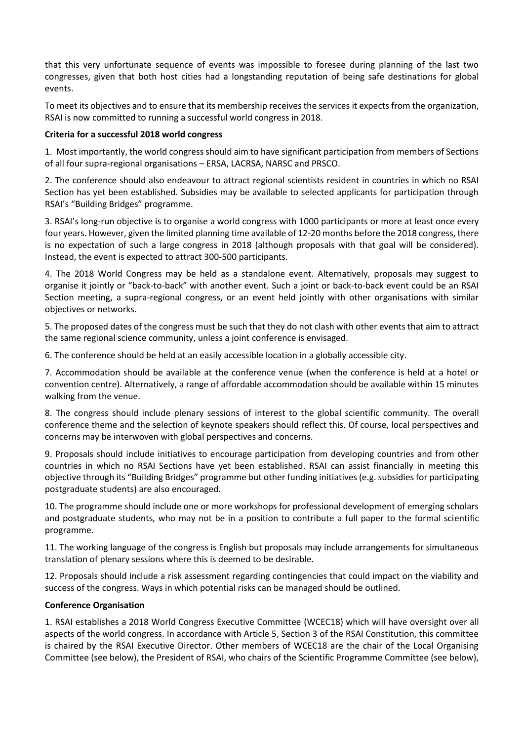that this very unfortunate sequence of events was impossible to foresee during planning of the last two congresses, given that both host cities had a longstanding reputation of being safe destinations for global events.

To meet its objectives and to ensure that its membership receives the services it expects from the organization, RSAI is now committed to running a successful world congress in 2018.

## **Criteria for a successful 2018 world congress**

1. Most importantly, the world congress should aim to have significant participation from members of Sections of all four supra-regional organisations – ERSA, LACRSA, NARSC and PRSCO.

2. The conference should also endeavour to attract regional scientists resident in countries in which no RSAI Section has yet been established. Subsidies may be available to selected applicants for participation through RSAI's "Building Bridges" programme.

3. RSAI's long-run objective is to organise a world congress with 1000 participants or more at least once every four years. However, given the limited planning time available of 12-20 months before the 2018 congress, there is no expectation of such a large congress in 2018 (although proposals with that goal will be considered). Instead, the event is expected to attract 300-500 participants.

4. The 2018 World Congress may be held as a standalone event. Alternatively, proposals may suggest to organise it jointly or "back-to-back" with another event. Such a joint or back-to-back event could be an RSAI Section meeting, a supra-regional congress, or an event held jointly with other organisations with similar objectives or networks.

5. The proposed dates of the congress must be such that they do not clash with other events that aim to attract the same regional science community, unless a joint conference is envisaged.

6. The conference should be held at an easily accessible location in a globally accessible city.

7. Accommodation should be available at the conference venue (when the conference is held at a hotel or convention centre). Alternatively, a range of affordable accommodation should be available within 15 minutes walking from the venue.

8. The congress should include plenary sessions of interest to the global scientific community. The overall conference theme and the selection of keynote speakers should reflect this. Of course, local perspectives and concerns may be interwoven with global perspectives and concerns.

9. Proposals should include initiatives to encourage participation from developing countries and from other countries in which no RSAI Sections have yet been established. RSAI can assist financially in meeting this objective through its "Building Bridges" programme but other funding initiatives (e.g. subsidies for participating postgraduate students) are also encouraged.

10. The programme should include one or more workshops for professional development of emerging scholars and postgraduate students, who may not be in a position to contribute a full paper to the formal scientific programme.

11. The working language of the congress is English but proposals may include arrangements for simultaneous translation of plenary sessions where this is deemed to be desirable.

12. Proposals should include a risk assessment regarding contingencies that could impact on the viability and success of the congress. Ways in which potential risks can be managed should be outlined.

# **Conference Organisation**

1. RSAI establishes a 2018 World Congress Executive Committee (WCEC18) which will have oversight over all aspects of the world congress. In accordance with Article 5, Section 3 of the RSAI Constitution, this committee is chaired by the RSAI Executive Director. Other members of WCEC18 are the chair of the Local Organising Committee (see below), the President of RSAI, who chairs of the Scientific Programme Committee (see below),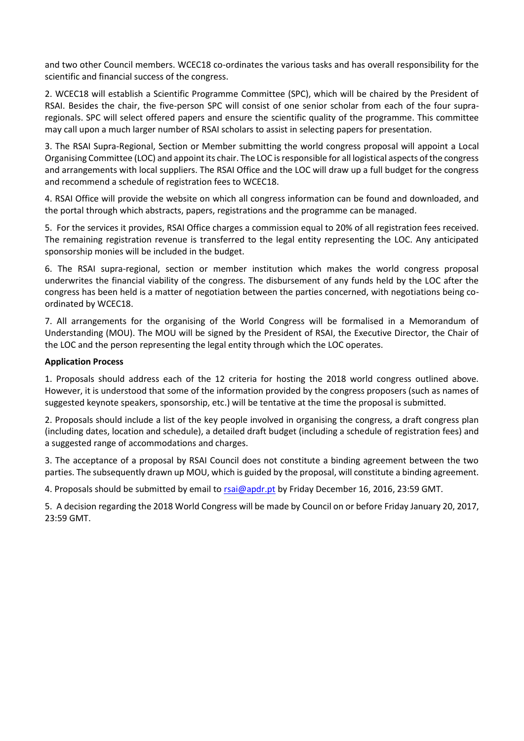and two other Council members. WCEC18 co-ordinates the various tasks and has overall responsibility for the scientific and financial success of the congress.

2. WCEC18 will establish a Scientific Programme Committee (SPC), which will be chaired by the President of RSAI. Besides the chair, the five-person SPC will consist of one senior scholar from each of the four supraregionals. SPC will select offered papers and ensure the scientific quality of the programme. This committee may call upon a much larger number of RSAI scholars to assist in selecting papers for presentation.

3. The RSAI Supra-Regional, Section or Member submitting the world congress proposal will appoint a Local Organising Committee (LOC) and appoint its chair. The LOC is responsible for all logistical aspects of the congress and arrangements with local suppliers. The RSAI Office and the LOC will draw up a full budget for the congress and recommend a schedule of registration fees to WCEC18.

4. RSAI Office will provide the website on which all congress information can be found and downloaded, and the portal through which abstracts, papers, registrations and the programme can be managed.

5. For the services it provides, RSAI Office charges a commission equal to 20% of all registration fees received. The remaining registration revenue is transferred to the legal entity representing the LOC. Any anticipated sponsorship monies will be included in the budget.

6. The RSAI supra-regional, section or member institution which makes the world congress proposal underwrites the financial viability of the congress. The disbursement of any funds held by the LOC after the congress has been held is a matter of negotiation between the parties concerned, with negotiations being coordinated by WCEC18.

7. All arrangements for the organising of the World Congress will be formalised in a Memorandum of Understanding (MOU). The MOU will be signed by the President of RSAI, the Executive Director, the Chair of the LOC and the person representing the legal entity through which the LOC operates.

### **Application Process**

1. Proposals should address each of the 12 criteria for hosting the 2018 world congress outlined above. However, it is understood that some of the information provided by the congress proposers (such as names of suggested keynote speakers, sponsorship, etc.) will be tentative at the time the proposal is submitted.

2. Proposals should include a list of the key people involved in organising the congress, a draft congress plan (including dates, location and schedule), a detailed draft budget (including a schedule of registration fees) and a suggested range of accommodations and charges.

3. The acceptance of a proposal by RSAI Council does not constitute a binding agreement between the two parties. The subsequently drawn up MOU, which is guided by the proposal, will constitute a binding agreement.

4. Proposals should be submitted by email to [rsai@apdr.pt](mailto:rsai@apdr.pt) by Friday December 16, 2016, 23:59 GMT.

5. A decision regarding the 2018 World Congress will be made by Council on or before Friday January 20, 2017, 23:59 GMT.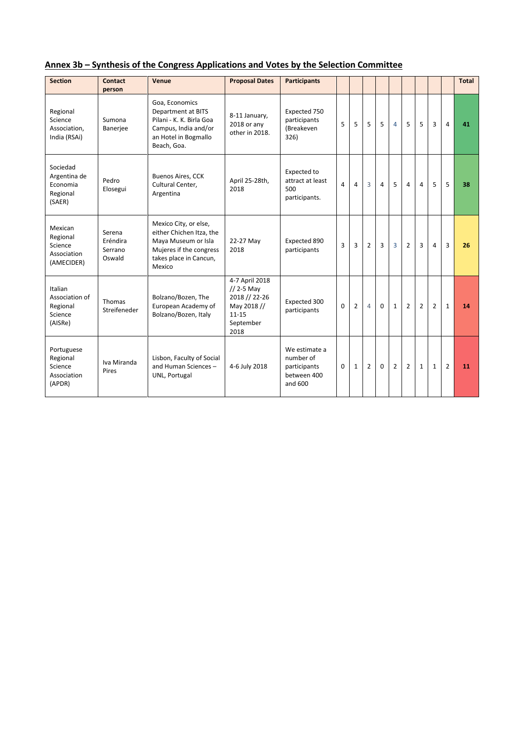|  | Annex 3b - Synthesis of the Congress Applications and Votes by the Selection Committee |  |  |
|--|----------------------------------------------------------------------------------------|--|--|
|  |                                                                                        |  |  |

| <b>Section</b>                                              | Contact<br>person                       | Venue                                                                                                                                   | <b>Proposal Dates</b>                                                                            | <b>Participants</b>                                                  |          |                |                |                |                |                |                |                |                | Total |
|-------------------------------------------------------------|-----------------------------------------|-----------------------------------------------------------------------------------------------------------------------------------------|--------------------------------------------------------------------------------------------------|----------------------------------------------------------------------|----------|----------------|----------------|----------------|----------------|----------------|----------------|----------------|----------------|-------|
| Regional<br>Science<br>Association,<br>India (RSAi)         | Sumona<br><b>Banerjee</b>               | Goa, Economics<br>Department at BITS<br>Pilani - K. K. Birla Goa<br>Campus. India and/or<br>an Hotel in Bogmallo<br>Beach, Goa.         | 8-11 January,<br>2018 or any<br>other in 2018.                                                   | Expected 750<br>participants<br>(Breakeven<br>326)                   | 5        | 5              | 5              | 5              | $\overline{4}$ | 5              | 5              | 3              | 4              | 41    |
| Sociedad<br>Argentina de<br>Economia<br>Regional<br>(SAER)  | Pedro<br>Elosegui                       | <b>Buenos Aires, CCK</b><br>Cultural Center,<br>Argentina                                                                               | April 25-28th,<br>2018                                                                           | Expected to<br>attract at least<br>500<br>participants.              | 4        | 4              | 3              | 4              | 5              | 4              | $\overline{4}$ | 5              | 5              | 38    |
| Mexican<br>Regional<br>Science<br>Association<br>(AMECIDER) | Serena<br>Eréndira<br>Serrano<br>Oswald | Mexico City, or else,<br>either Chichen Itza, the<br>Maya Museum or Isla<br>Mujeres if the congress<br>takes place in Cancun,<br>Mexico | 22-27 May<br>2018                                                                                | Expected 890<br>participants                                         | 3        | 3              | $\overline{2}$ | $\overline{3}$ | $\overline{3}$ | $\overline{2}$ | 3              | $\overline{4}$ | 3              | 26    |
| Italian<br>Association of<br>Regional<br>Science<br>(AISRe) | Thomas<br>Streifeneder                  | Bolzano/Bozen, The<br>European Academy of<br>Bolzano/Bozen, Italy                                                                       | 4-7 April 2018<br>$// 2-5$ May<br>2018 // 22-26<br>May 2018 //<br>$11 - 15$<br>September<br>2018 | Expected 300<br>participants                                         | $\Omega$ | $\overline{2}$ | 4              | $\Omega$       | $\mathbf{1}$   | $\overline{2}$ | $\overline{2}$ | $\overline{2}$ | $\mathbf{1}$   | 14    |
| Portuguese<br>Regional<br>Science<br>Association<br>(APDR)  | Iva Miranda<br>Pires                    | Lisbon, Faculty of Social<br>and Human Sciences-<br>UNL, Portugal                                                                       | 4-6 July 2018                                                                                    | We estimate a<br>number of<br>participants<br>between 400<br>and 600 | $\Omega$ | $\mathbf{1}$   | $\overline{2}$ | $\Omega$       | $\overline{2}$ | $\overline{2}$ | $\mathbf{1}$   | $\mathbf{1}$   | $\overline{2}$ | 11    |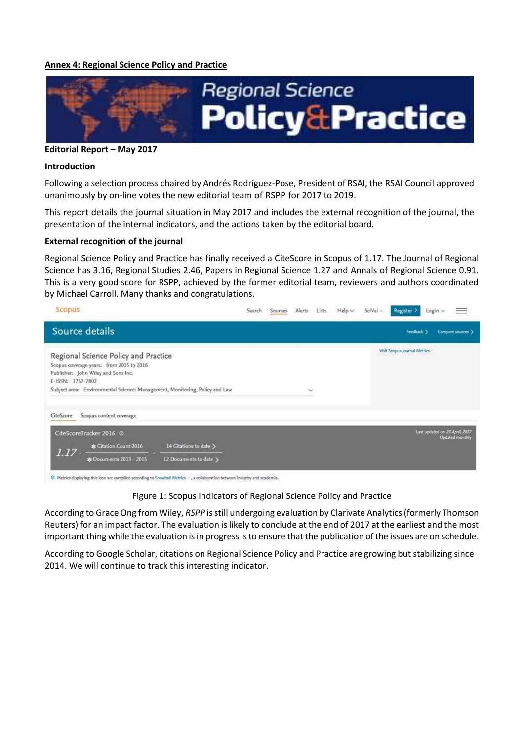#### **Annex 4: Regional Science Policy and Practice**



#### **Editorial Report – May 2017**

#### **Introduction**

Following a selection process chaired by Andrés Rodríguez-Pose, President of RSAI, the RSAI Council approved unanimously by on-line votes the new editorial team of RSPP for 2017 to 2019.

This report details the journal situation in May 2017 and includes the external recognition of the journal, the presentation of the internal indicators, and the actions taken by the editorial board.

#### **External recognition of the journal**

Regional Science Policy and Practice has finally received a CiteScore in Scopus of 1.17. The Journal of Regional Science has 3.16, Regional Studies 2.46, Papers in Regional Science 1.27 and Annals of Regional Science 0.91. This is a very good score for RSPP, achieved by the former editorial team, reviewers and authors coordinated by Michael Carroll. Many thanks and congratulations.

| Scopus.                                                                                                                                                                                                                                                                                                                    | Search | Sources | <b>Alerts</b> | Lists | $Help \vee$ | SciVal » | Register >                   | Login v |                                                   |
|----------------------------------------------------------------------------------------------------------------------------------------------------------------------------------------------------------------------------------------------------------------------------------------------------------------------------|--------|---------|---------------|-------|-------------|----------|------------------------------|---------|---------------------------------------------------|
| Source details                                                                                                                                                                                                                                                                                                             |        |         |               |       |             |          | Feedback )                   |         | Compare sources >                                 |
| Regional Science Policy and Practice<br>Scopus coverage years: from 2015 to 2016<br>Publisher: John Wiley and Sons Inc.<br>E-ISSN: 1757-7802<br>Subject area: Environmental Science: Management, Monitoring, Policy and Law                                                                                                |        |         | $\checkmark$  |       |             |          | Visit Scopus Journal Metrics |         |                                                   |
| Scopus content coverage<br>CiteScore<br>CiteScoreTracker 2016 ©<br>14 Citations to date ><br>& Citation Count 2016<br>1.17<br><b>&amp; Documents 2013 - 2015</b><br>12 Documents to date ><br>25 Metrics displaying this icon are compiled according to Spowball Metrics. 2 a collaboration between industry and academia. |        |         |               |       |             |          |                              |         | Last updated on 23 April, 2017<br>Updated monthly |

Figure 1: Scopus Indicators of Regional Science Policy and Practice

According to Grace Ong from Wiley, *RSPP* is still undergoing evaluation by Clarivate Analytics (formerly Thomson Reuters) for an impact factor. The evaluation is likely to conclude at the end of 2017 at the earliest and the most important thing while the evaluation is in progress is to ensure that the publication of the issues are on schedule.

According to Google Scholar, citations on Regional Science Policy and Practice are growing but stabilizing since 2014. We will continue to track this interesting indicator.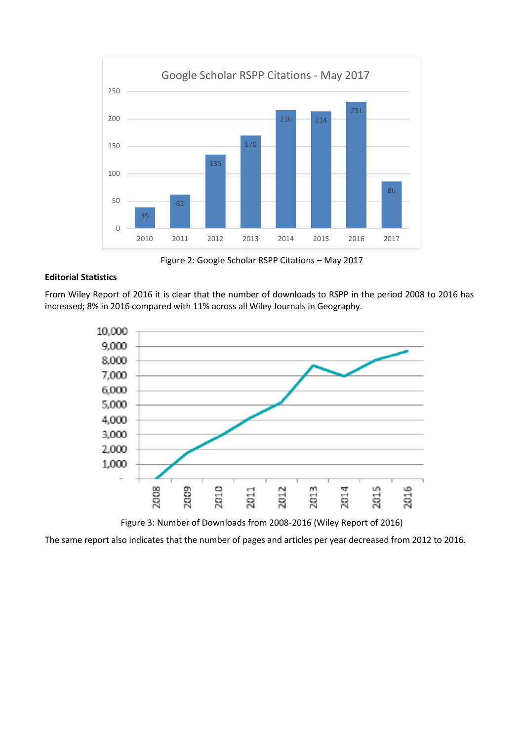

Figure 2: Google Scholar RSPP Citations – May 2017

## **Editorial Statistics**

From Wiley Report of 2016 it is clear that the number of downloads to RSPP in the period 2008 to 2016 has increased; 8% in 2016 compared with 11% across all Wiley Journals in Geography.



Figure 3: Number of Downloads from 2008-2016 (Wiley Report of 2016)

The same report also indicates that the number of pages and articles per year decreased from 2012 to 2016.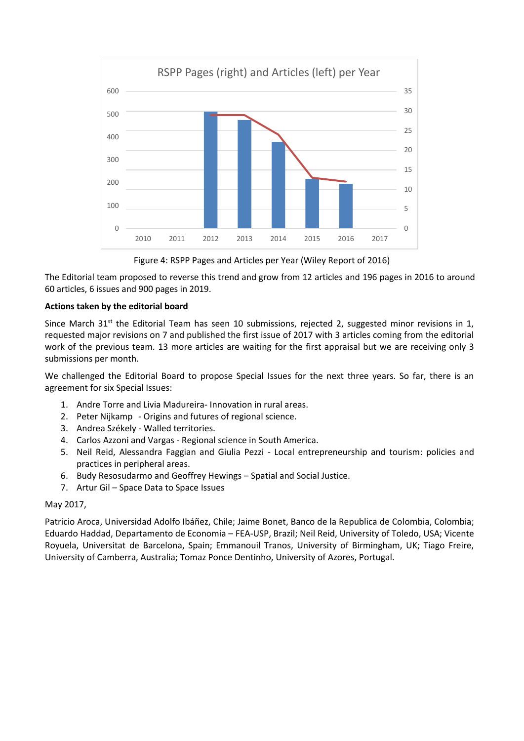

Figure 4: RSPP Pages and Articles per Year (Wiley Report of 2016)

The Editorial team proposed to reverse this trend and grow from 12 articles and 196 pages in 2016 to around 60 articles, 6 issues and 900 pages in 2019.

## **Actions taken by the editorial board**

Since March 31<sup>st</sup> the Editorial Team has seen 10 submissions, rejected 2, suggested minor revisions in 1, requested major revisions on 7 and published the first issue of 2017 with 3 articles coming from the editorial work of the previous team. 13 more articles are waiting for the first appraisal but we are receiving only 3 submissions per month.

We challenged the Editorial Board to propose Special Issues for the next three years. So far, there is an agreement for six Special Issues:

- 1. Andre Torre and Livia Madureira- Innovation in rural areas.
- 2. Peter Nijkamp Origins and futures of regional science.
- 3. Andrea Székely Walled territories.
- 4. Carlos Azzoni and Vargas Regional science in South America.
- 5. Neil Reid, Alessandra Faggian and Giulia Pezzi Local entrepreneurship and tourism: policies and practices in peripheral areas.
- 6. Budy Resosudarmo and Geoffrey Hewings Spatial and Social Justice.
- 7. Artur Gil Space Data to Space Issues

### May 2017,

Patricio Aroca, Universidad Adolfo Ibáñez, Chile; Jaime Bonet, Banco de la Republica de Colombia, Colombia; Eduardo Haddad, Departamento de Economia – FEA-USP, Brazil; Neil Reid, University of Toledo, USA; Vicente Royuela, Universitat de Barcelona, Spain; Emmanouil Tranos, University of Birmingham, UK; Tiago Freire, University of Camberra, Australia; Tomaz Ponce Dentinho, University of Azores, Portugal.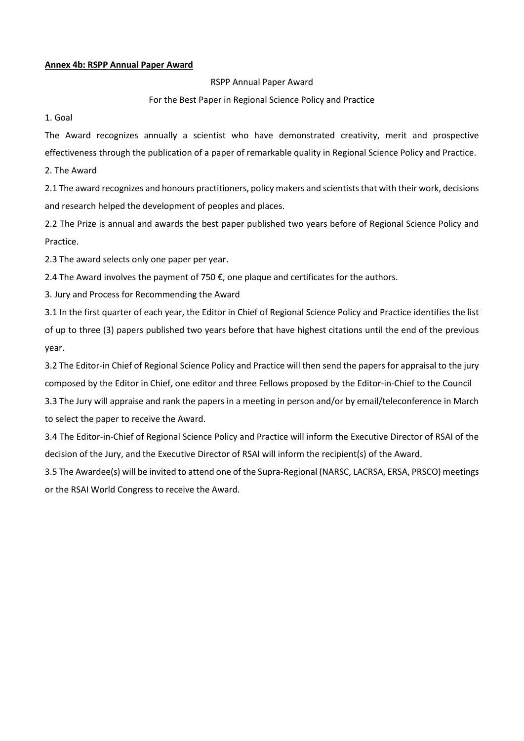#### **Annex 4b: RSPP Annual Paper Award**

RSPP Annual Paper Award

For the Best Paper in Regional Science Policy and Practice

1. Goal

The Award recognizes annually a scientist who have demonstrated creativity, merit and prospective effectiveness through the publication of a paper of remarkable quality in Regional Science Policy and Practice.

2. The Award

2.1 The award recognizes and honours practitioners, policy makers and scientists that with their work, decisions and research helped the development of peoples and places.

2.2 The Prize is annual and awards the best paper published two years before of Regional Science Policy and Practice.

2.3 The award selects only one paper per year.

2.4 The Award involves the payment of 750  $\epsilon$ , one plaque and certificates for the authors.

3. Jury and Process for Recommending the Award

3.1 In the first quarter of each year, the Editor in Chief of Regional Science Policy and Practice identifies the list of up to three (3) papers published two years before that have highest citations until the end of the previous year.

3.2 The Editor-in Chief of Regional Science Policy and Practice will then send the papers for appraisal to the jury composed by the Editor in Chief, one editor and three Fellows proposed by the Editor-in-Chief to the Council

3.3 The Jury will appraise and rank the papers in a meeting in person and/or by email/teleconference in March to select the paper to receive the Award.

3.4 The Editor-in-Chief of Regional Science Policy and Practice will inform the Executive Director of RSAI of the decision of the Jury, and the Executive Director of RSAI will inform the recipient(s) of the Award.

3.5 The Awardee(s) will be invited to attend one of the Supra-Regional (NARSC, LACRSA, ERSA, PRSCO) meetings or the RSAI World Congress to receive the Award.